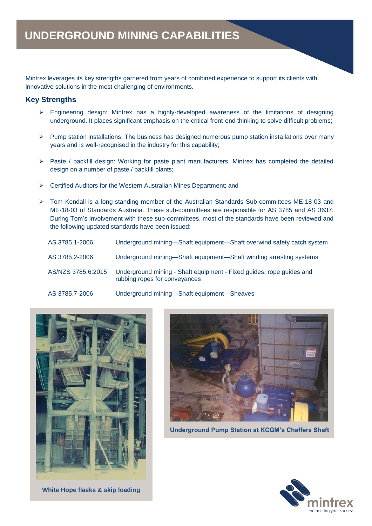Mintrex leverages its key strengths garnered from years of combined experience to support its clients with innovative solutions in the most challenging of environments.

## **Key Strengths**

- ➢ Engineering design: Mintrex has a highly-developed awareness of the limitations of designing underground. It places significant emphasis on the critical front-end thinking to solve difficult problems;
- ➢ Pump station installations: The business has designed numerous pump station installations over many years and is well-recognised in the industry for this capability;
- ➢ Paste / backfill design: Working for paste plant manufacturers, Mintrex has completed the detailed design on a number of paste / backfill plants;
- ➢ Certified Auditors for the Western Australian Mines Department; and
- ➢ Tom Kendall is a long-standing member of the Australian Standards Sub-committees ME-18-03 and ME-18-03 of Standards Australia. These sub-committees are responsible for AS 3785 and AS 3637. During Tom's involvement with these sub-committees, most of the standards have been reviewed and the following updated standards have been issued:

| AS 3785.1-2006     | Underground mining—Shaft equipment—Shaft overwind safety catch system                                 |
|--------------------|-------------------------------------------------------------------------------------------------------|
| AS 3785.2-2006     | Underground mining—Shaft equipment—Shaft winding arresting systems                                    |
| AS/NZS 3785.6:2015 | Underground mining - Shaft equipment - Fixed guides, rope guides and<br>rubbing ropes for conveyances |
| AS 3785.7-2006     | Underground mining-Shaft equipment-Sheaves                                                            |



**White Hope flasks & skip loading**



 **Underground Pump Station at KCGM's Chaffers Shaft**